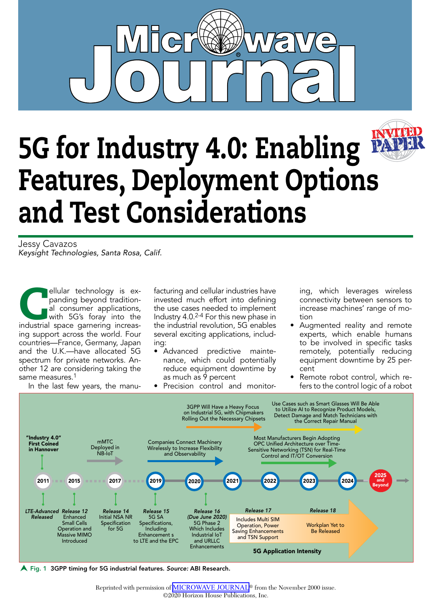

# **INVITED** 5G for Industry 4.0: Enabling Features, Deployment Options and Test Considerations

Jessy Cavazos *Keysight Technologies, Santa Rosa, Calif.*

ellular technology is expanding beyond tradition-<br>al consumer applications,<br>with 5G's foray into the<br>industrial space garnering increaspanding beyond traditional consumer applications, with 5G's foray into the ing support across the world. Four countries—France, Germany, Japan and the U.K.—have allocated 5G spectrum for private networks. Another 12 are considering taking the same measures.<sup>1</sup> In the last few years, the manu-

facturing and cellular industries have invested much effort into defining the use cases needed to implement Industry 4.0.2-4 For this new phase in the industrial revolution, 5G enables several exciting applications, including:

- Advanced predictive maintenance, which could potentially reduce equipment downtime by as much as 9 percent
- Precision control and monitor-

ing, which leverages wireless connectivity between sensors to increase machines' range of motion

- Augmented reality and remote experts, which enable humans to be involved in specific tasks remotely, potentially reducing equipment downtime by 25 percent
- Remote robot control, which refers to the control logic of a robot



Fig. 1 3GPP timing for 5G industrial features. *Source:* ABI Research.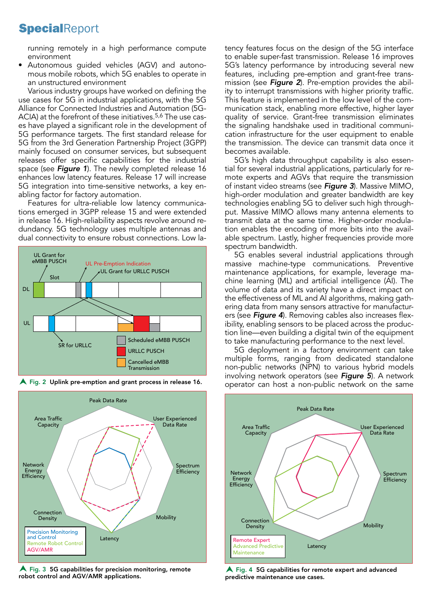### **SpecialReport**

running remotely in a high performance compute environment

• Autonomous guided vehicles (AGV) and autonomous mobile robots, which 5G enables to operate in an unstructured environment

Various industry groups have worked on defining the use cases for 5G in industrial applications, with the 5G Alliance for Connected Industries and Automation (5G-ACIA) at the forefront of these initiatives.<sup>5,6</sup> The use cases have played a significant role in the development of 5G performance targets. The first standard release for 5G from the 3rd Generation Partnership Project (3GPP) mainly focused on consumer services, but subsequent releases offer specific capabilities for the industrial space (see *Figure 1*). The newly completed release 16 enhances low latency features. Release 17 will increase 5G integration into time-sensitive networks, a key enabling factor for factory automation.

Features for ultra-reliable low latency communications emerged in 3GPP release 15 and were extended in release 16. High-reliability aspects revolve around redundancy. 5G technology uses multiple antennas and dual connectivity to ensure robust connections. Low la-





A Fig. 2 Uplink pre-emption and grant process in release 16.

 $\blacktriangle$  Fig. 3 5G capabilities for precision monitoring, remote robot control and AGV/AMR applications.

tency features focus on the design of the 5G interface to enable super-fast transmission. Release 16 improves 5G's latency performance by introducing several new features, including pre-emption and grant-free transmission (see *Figure 2*). Pre-emption provides the ability to interrupt transmissions with higher priority traffic. This feature is implemented in the low level of the communication stack, enabling more effective, higher layer quality of service. Grant-free transmission eliminates the signaling handshake used in traditional communication infrastructure for the user equipment to enable the transmission. The device can transmit data once it becomes available.

5G's high data throughput capability is also essential for several industrial applications, particularly for remote experts and AGVs that require the transmission of instant video streams (see *Figure 3*). Massive MIMO, high-order modulation and greater bandwidth are key technologies enabling 5G to deliver such high throughput. Massive MIMO allows many antenna elements to transmit data at the same time. Higher-order modulation enables the encoding of more bits into the available spectrum. Lastly, higher frequencies provide more spectrum bandwidth.

5G enables several industrial applications through massive machine-type communications. Preventive maintenance applications, for example, leverage machine learning (ML) and artificial intelligence (AI). The volume of data and its variety have a direct impact on the effectiveness of ML and AI algorithms, making gathering data from many sensors attractive for manufacturers (see *Figure 4*). Removing cables also increases flexibility, enabling sensors to be placed across the production line—even building a digital twin of the equipment to take manufacturing performance to the next level.

5G deployment in a factory environment can take multiple forms, ranging from dedicated standalone non-public networks (NPN) to various hybrid models involving network operators (see *Figure 5*). A network operator can host a non-public network on the same



 $\bigwedge$  Fig. 4 5G capabilities for remote expert and advanced predictive maintenance use cases.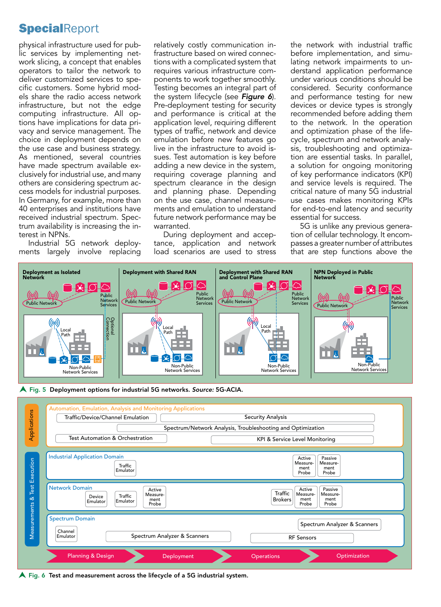#### **SpecialReport**

physical infrastructure used for public services by implementing network slicing, a concept that enables operators to tailor the network to deliver customized services to specific customers. Some hybrid models share the radio access network infrastructure, but not the edge computing infrastructure. All options have implications for data privacy and service management. The choice in deployment depends on the use case and business strategy. As mentioned, several countries have made spectrum available exclusively for industrial use, and many others are considering spectrum access models for industrial purposes. In Germany, for example, more than 40 enterprises and institutions have received industrial spectrum. Spectrum availability is increasing the interest in NPNs.

Industrial 5G network deployments largely involve replacing relatively costly communication infrastructure based on wired connections with a complicated system that requires various infrastructure components to work together smoothly. Testing becomes an integral part of the system lifecycle (see *Figure 6*). Pre-deployment testing for security and performance is critical at the application level, requiring different types of traffic, network and device emulation before new features go live in the infrastructure to avoid issues. Test automation is key before adding a new device in the system, requiring coverage planning and spectrum clearance in the design and planning phase. Depending on the use case, channel measurements and emulation to understand future network performance may be warranted.

During deployment and acceptance, application and network load scenarios are used to stress the network with industrial traffic before implementation, and simulating network impairments to understand application performance under various conditions should be considered. Security conformance and performance testing for new devices or device types is strongly recommended before adding them to the network. In the operation and optimization phase of the lifecycle, spectrum and network analysis, troubleshooting and optimization are essential tasks. In parallel, a solution for ongoing monitoring of key performance indicators (KPI) and service levels is required. The critical nature of many 5G industrial use cases makes monitoring KPIs for end-to-end latency and security essential for success.

5G is unlike any previous generation of cellular technology. It encompasses a greater number of attributes that are step functions above the



Fig. 5 Deployment options for industrial 5G networks. *Source:* 5G-ACIA.



 $\blacktriangle$  Fig. 6 Test and measurement across the lifecycle of a 5G industrial system.